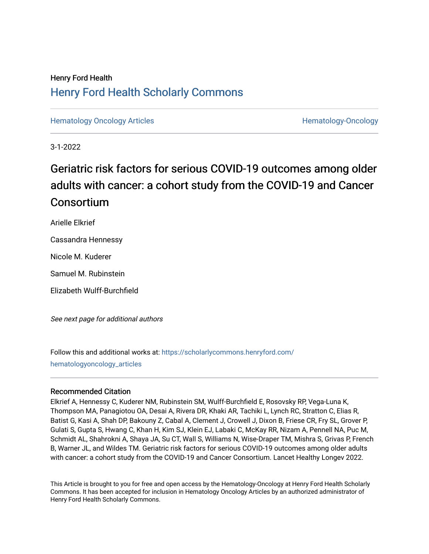## Henry Ford Health [Henry Ford Health Scholarly Commons](https://scholarlycommons.henryford.com/)

[Hematology Oncology Articles](https://scholarlycommons.henryford.com/hematologyoncology_articles) **Hematology-Oncology** Articles **Hematology-Oncology** 

3-1-2022

# Geriatric risk factors for serious COVID-19 outcomes among older adults with cancer: a cohort study from the COVID-19 and Cancer **Consortium**

Arielle Elkrief

Cassandra Hennessy

Nicole M. Kuderer

Samuel M. Rubinstein

Elizabeth Wulff-Burchfield

See next page for additional authors

Follow this and additional works at: [https://scholarlycommons.henryford.com/](https://scholarlycommons.henryford.com/hematologyoncology_articles?utm_source=scholarlycommons.henryford.com%2Fhematologyoncology_articles%2F232&utm_medium=PDF&utm_campaign=PDFCoverPages) [hematologyoncology\\_articles](https://scholarlycommons.henryford.com/hematologyoncology_articles?utm_source=scholarlycommons.henryford.com%2Fhematologyoncology_articles%2F232&utm_medium=PDF&utm_campaign=PDFCoverPages)

## Recommended Citation

Elkrief A, Hennessy C, Kuderer NM, Rubinstein SM, Wulff-Burchfield E, Rosovsky RP, Vega-Luna K, Thompson MA, Panagiotou OA, Desai A, Rivera DR, Khaki AR, Tachiki L, Lynch RC, Stratton C, Elias R, Batist G, Kasi A, Shah DP, Bakouny Z, Cabal A, Clement J, Crowell J, Dixon B, Friese CR, Fry SL, Grover P, Gulati S, Gupta S, Hwang C, Khan H, Kim SJ, Klein EJ, Labaki C, McKay RR, Nizam A, Pennell NA, Puc M, Schmidt AL, Shahrokni A, Shaya JA, Su CT, Wall S, Williams N, Wise-Draper TM, Mishra S, Grivas P, French B, Warner JL, and Wildes TM. Geriatric risk factors for serious COVID-19 outcomes among older adults with cancer: a cohort study from the COVID-19 and Cancer Consortium. Lancet Healthy Longev 2022.

This Article is brought to you for free and open access by the Hematology-Oncology at Henry Ford Health Scholarly Commons. It has been accepted for inclusion in Hematology Oncology Articles by an authorized administrator of Henry Ford Health Scholarly Commons.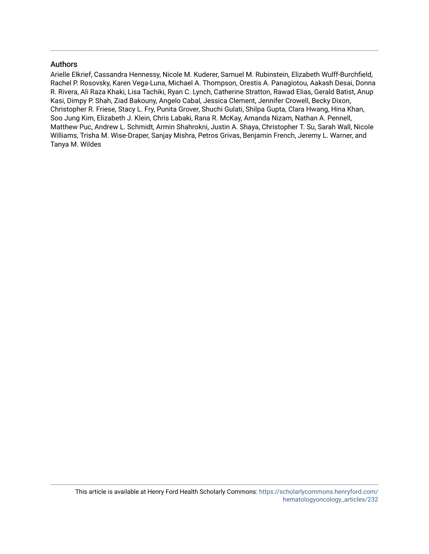## Authors

Arielle Elkrief, Cassandra Hennessy, Nicole M. Kuderer, Samuel M. Rubinstein, Elizabeth Wulff-Burchfield, Rachel P. Rosovsky, Karen Vega-Luna, Michael A. Thompson, Orestis A. Panagiotou, Aakash Desai, Donna R. Rivera, Ali Raza Khaki, Lisa Tachiki, Ryan C. Lynch, Catherine Stratton, Rawad Elias, Gerald Batist, Anup Kasi, Dimpy P. Shah, Ziad Bakouny, Angelo Cabal, Jessica Clement, Jennifer Crowell, Becky Dixon, Christopher R. Friese, Stacy L. Fry, Punita Grover, Shuchi Gulati, Shilpa Gupta, Clara Hwang, Hina Khan, Soo Jung Kim, Elizabeth J. Klein, Chris Labaki, Rana R. McKay, Amanda Nizam, Nathan A. Pennell, Matthew Puc, Andrew L. Schmidt, Armin Shahrokni, Justin A. Shaya, Christopher T. Su, Sarah Wall, Nicole Williams, Trisha M. Wise-Draper, Sanjay Mishra, Petros Grivas, Benjamin French, Jeremy L. Warner, and Tanya M. Wildes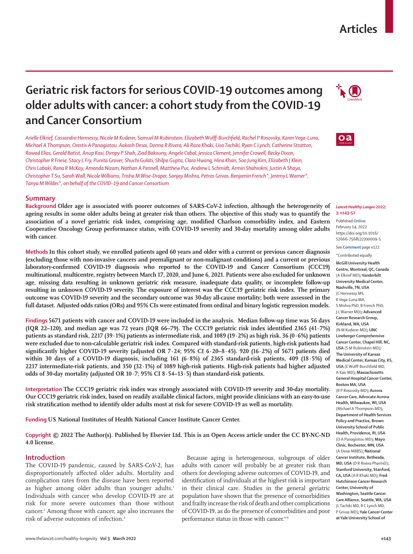## **Articles**

# **Geriatric risk factors for serious COVID-19 outcomes among older adults with cancer: a cohort study from the COVID-19 and Cancer Consortium**

*Arielle Elkrief, Cassandra Hennessy, Nicole M Kuderer, Samuel M Rubinstein, Elizabeth Wulff-Burchfield, Rachel P Rosovsky, Karen Vega-Luna, Michael A Thompson, Orestis A Panagiotou, Aakash Desai, Donna R Rivera, Ali Raza Khaki, Lisa Tachiki, Ryan C Lynch, Catherine Stratton, Rawad Elias, Gerald Batist, Anup Kasi, Dimpy P Shah, Ziad Bakouny, Angelo Cabal, Jessica Clement, Jennifer Crowell, Becky Dixon, Christopher R Friese, Stacy L Fry, Punita Grover, Shuchi Gulati, Shilpa Gupta, Clara Hwang, Hina Khan, Soo Jung Kim, Elizabeth J Klein, Chris Labaki, Rana R McKay, Amanda Nizam, Nathan A Pennell, Matthew Puc, Andrew L Schmidt, Armin Shahrokni, Justin A Shaya, Christopher T Su, Sarah Wall, Nicole Williams, Trisha M Wise-Draper, Sanjay Mishra, Petros Grivas, Benjamin French\*, Jeremy L Warner\*, Tanya M Wildes\*, on behalf of the COVID-19 and Cancer Consortium*

## **Summary**

**Background Older age is associated with poorer outcomes of SARS-CoV-2 infection, although the heterogeneity of ageing results in some older adults being at greater risk than others. The objective of this study was to quantify the association of a novel geriatric risk index, comprising age, modified Charlson comorbidity index, and Eastern Cooperative Oncology Group performance status, with COVID-19 severity and 30-day mortality among older adults with cancer.**

**Methods In this cohort study, we enrolled patients aged 60 years and older with a current or previous cancer diagnosis (excluding those with non-invasive cancers and premalignant or non-malignant conditions) and a current or previous laboratory-confirmed COVID-19 diagnosis who reported to the COVID-19 and Cancer Consortium (CCC19) multinational, multicentre, registry between March 17, 2020, and June 6, 2021. Patients were also excluded for unknown age, missing data resulting in unknown geriatric risk measure, inadequate data quality, or incomplete follow-up resulting in unknown COVID-19 severity. The exposure of interest was the CCC19 geriatric risk index. The primary outcome was COVID-19 severity and the secondary outcome was 30-day all-cause mortality; both were assessed in the full dataset. Adjusted odds ratios (ORs) and 95% CIs were estimated from ordinal and binary logistic regression models.**

**Findings 5671 patients with cancer and COVID-19 were included in the analysis. Median follow-up time was 56 days (IQR 22–120), and median age was 72 years (IQR 66–79). The CCC19 geriatric risk index identified 2365 (41·7%) patients as standard risk, 2217 (39·1%) patients as intermediate risk, and 1089 (19·2%) as high risk. 36 (0·6%) patients were excluded due to non-calculable geriatric risk index. Compared with standard-risk patients, high-risk patients had significantly higher COVID-19 severity (adjusted OR 7·24; 95% CI 6·20–8·45). 920 (16·2%) of 5671 patients died within 30 days of a COVID-19 diagnosis, including 161 (6·8%) of 2365 standard-risk patients, 409 (18·5%) of 2217 intermediate-risk patients, and 350 (32·1%) of 1089 high-risk patients. High-risk patients had higher adjusted odds of 30-day mortality (adjusted OR 10·7; 95% CI 8·54–13·5) than standard-risk patients.**

**Interpretation The CCC19 geriatric risk index was strongly associated with COVID-19 severity and 30-day mortality. Our CCC19 geriatric risk index, based on readily available clinical factors, might provide clinicians with an easy-to-use risk stratification method to identify older adults most at risk for severe COVID-19 as well as mortality.**

**Funding US National Institutes of Health National Cancer Institute Cancer Center.**

**Copyright © 2022 The Author(s). Published by Elsevier Ltd. This is an Open Access article under the CC BY-NC-ND 4.0 license.**

## **Introduction**

The COVID-19 pandemic, caused by SARS-CoV-2, has disproportionately affected older adults. Mortality and complication rates from the disease have been reported as higher among older adults than younger adults.<sup>1</sup> Individuals with cancer who develop COVID-19 are at risk for more severe outcomes than those without cancer.2 Among those with cancer, age also increases the risk of adverse outcomes of infection.3

Because aging is heterogeneous, subgroups of older adults with cancer will probably be at greater risk than others for developing adverse outcomes of COVID-19, and identification of individuals at the highest risk is important in their clinical care. Studies in the general geriatric population have shown that the presence of comorbidities and frailty increase the risk of death and other complications of COVID-19, as do the presence of comorbidities and poor performance status in those with cancer.<sup>4-6</sup>





#### *Lancet Healthy Longev* **2022; 3: e143–52**

Published **Online** February 14, 2022 https://doi.org/10.1016/ S2666-7568(22)00009-5

See **Comment** page e122 \*Contributed equally

**McGill University Health Centre, Montreal, QC, Canada** (A Elkrief MD)**; Vanderbilt University Medical Center, Nashville, TN, USA**  (C Hennessy MS, K Vega-Luna MA, S Mishra PhD, B French PhD, J L Warner MD)**; Advanced Cancer Research Group, Kirkland, WA, USA**  (N M Kuderer MD)**; UNC Lineberger Comprehensive Cancer Center, Chapel Hill, NC, USA** (S M Rubinstein MD)**; The University of Kansas Medical Center, Kansas City, KS, USA** (E Wulff-Burchfield MD, A Kasi MD)**; Massachusetts General Hospital Cancer Center, Boston MA, USA** (R P Rosovsky MD)**; Aurora Cancer Care, Advocate Aurora Health, Milwaukee, WI, USA** (Michael A Thompson MD)**; Department of Health Services Policy and Practice, Brown University School of Public Health, Providence, RI, USA** (O A Panagiotou MD)**; Mayo Clinic, Rochester, MN, USA** (A Desai MBBS)**; National Cancer Institute, Bethesda, MD, USA** (D R Rivera PharmD)**; Stanford University, Stanford, CA, USA** (A R Khaki MD)**; Fred Hutchinson Cancer Research Center, University of Washington, Seattle Cancer Care Alliance, Seattle, WA, USA** (L Tachiki MD, R C Lynch MD, P Grivas MD)**; Yale Cancer Center at Yale University School of**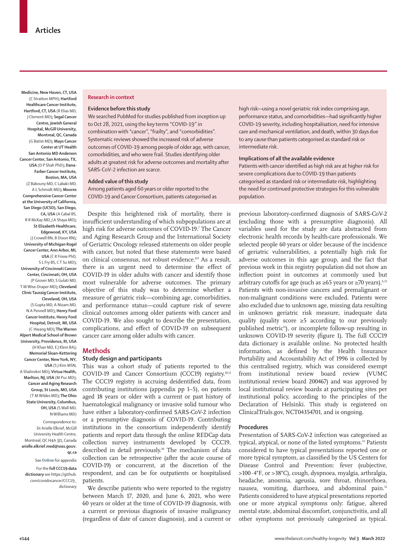**Medicine, New Haven, CT, USA** (C Stratton MPH)**; Hartford Healthcare Cancer Institute, Hartford, CT, USA** (R Elias MD, J Clement MD)**; Segal Cancer Centre, Jewish General Hospital, McGill University, Montreal, QC, Canada** (G Batist MD)**; Mays Cancer Center at UT Health San Antonio MD Anderson Cancer Center, San Antonio, TX, USA** (D P Shah PhD)**; Dana-Farber Cancer Institute, Boston, MA, USA** (Z Bakouny MD, C Labaki MD,

A L Schmidt MD)**; Moores Comprehensive Cancer Center at the University of California, San Diego (UCSD), San Diego, CA, USA** (A Cabal BS, R R McKay MD, J A Shaya MD)**; St Elizabeth Healthcare, Edgewood, KY, USA** (J Crowell RN, B Dixon RN)**; University of Michigan Rogel Cancer Center, Ann Arbor, MI, USA** (C R Friese PhD, S L Fry BS, C T Su MD)**; University of Cincinnati Cancer Center, Cincinnati, OH, USA** (P Grover MD, S Gulati MD, T M Wise-Draper MD)**; Cleveland Clinic Taussig Cancer Institute, Cleveland, OH, USA** (S Gupta MD, A Nizam MD, N A Pennell MD)**; Henry Ford Cancer Institute, Henry Ford Hospital, Detroit, MI, USA** (C Hwang MD)**; The Warren Alpert Medical School of Brown University, Providence, RI, USA** (H Khan MD, E J Klein BA)**; Memorial Sloan-Kettering Cancer Center, New York, NY, USA** (S J Kim MSN, A Shahrokni MD)**; Virtua Health, Marlton, NJ, USA** (M Puc MD)**; Cancer and Aging Research Group, St Louis, MO, USA** (T M Wildes MD)**; The Ohio State University, Columbus, OH, USA** (S Wall MD, N Williams MD)

Correspondence to: Dr Arielle Elkrief, McGill University Health Centre, Montreal, QC H4A 3J1, Canada **arielle.elkrief.med@ssss.gouv. qc.ca**

See **Online** for appendix For the **full CCC19 data dictionary** see [https://github.](https://github.com/covidncancer/CCC19_dictionary) [com/covidncancer/CCC19\\_](https://github.com/covidncancer/CCC19_dictionary) [dictionary](https://github.com/covidncancer/CCC19_dictionary)

#### **Research in context**

#### **Evidence before this study**

We searched PubMed for studies published from inception up to Oct 28, 2021, using the key terms "COVID-19" in combination with "cancer", "frailty", and "comorbidities". Systematic reviews showed the increased risk of adverse outcomes of COVID-19 among people of older age, with cancer, comorbidities, and who were frail. Studies identifying older adults at greatest risk for adverse outcomes and mortality after SARS-CoV-2 infection are scarce.

**Added value of this study**

Among patients aged 60 years or older reported to the COVID-19 and Cancer Consortium, patients categorised as

Despite this heightened risk of mortality, there is insufficient understanding of which subpopulations are at high risk for adverse outcomes of COVID-19.7 The Cancer and Aging Research Group and the International Society of Geriatric Oncology released statements on older people with cancer, but noted that these statements were based on clinical consensus, not robust evidence.<sup>8,9</sup> As a result, there is an urgent need to determine the effect of COVID-19 in older adults with cancer and identify those most vulnerable for adverse outcomes. The primary objective of this study was to determine whether a measure of geriatric risk—combining age, comorbidities, and performance status—could capture risk of severe clinical outcomes among older patients with cancer and COVID-19. We also sought to describe the presentation, complications, and effect of COVID-19 on subsequent cancer care among older adults with cancer.

## **Methods**

## **Study design and participants**

This was a cohort study of patients reported to the COVID-19 and Cancer Consortium (CCC19) registry.10,11 The CCC19 registry is accruing deidentified data, from contributing institutions (appendix pp 1–5), on patients aged 18 years or older with a current or past history of haematological malignancy or invasive solid tumour who have either a laboratory-confirmed SARS-CoV-2 infection or a presumptive diagnosis of COVID-19. Contributing institutions in the consortium independently identify patients and report data through the online REDCap data collection survey instruments developed by CCC19, described in detail previously.<sup>10</sup> The mechanism of data collection can be retrospective (after the acute course of COVID-19) or concurrent, at the discretion of the respondent, and can be for outpatients or hospitalised patients.

We describe patients who were reported to the registry between March 17, 2020, and June 6, 2021, who were 60 years or older at the time of COVID-19 diagnosis, with a current or previous diagnosis of invasive malignancy (regardless of date of cancer diagnosis), and a current or

high risk—using a novel geriatric risk index comprising age, performance status, and comorbidities—had significantly higher COVID-19 severity, including hospitalisation, need for intensive care and mechanical ventilation, and death, within 30 days due to any cause than patients categorised as standard risk or intermediate risk.

#### **Implications of all the available evidence**

Patients with cancer identified as high risk are at higher risk for severe complications due to COVID-19 than patients categorised as standard risk or intermediate risk, highlighting the need for continued protective strategies for this vulnerable population.

previous laboratory-confirmed diagnosis of SARS-CoV-2 (excluding those with a presumptive diagnosis). All variables used for the study are data abstracted from electronic health records by health-care professionals. We selected people 60 years or older because of the incidence of geriatric vulnerabilities, a potentially high risk for adverse outcomes in this age group, and the fact that previous work in this registry population did not show an inflection point in outcomes at commonly used but arbitrary cutoffs for age (such as  $\geq 65$  years or  $\geq 70$  years).<sup>6,12</sup> Patients with non-invasive cancers and premalignant or non-malignant conditions were excluded. Patients were also excluded due to unknown age, missing data resulting in unknown geriatric risk measure, inadequate data quality (quality score  $\geq$ 5 according to our previously published metric<sup>11</sup>), or incomplete follow-up resulting in unknown COVID-19 severity (figure 1). The full [CCC19](https://github.com/covidncancer/CCC19_dictionary) [data dictionary](https://github.com/covidncancer/CCC19_dictionary) is available online. No protected health information, as defined by the Health Insurance Portability and Accountability Act of 1996 is collected by this centralised registry, which was considered exempt from institutional review board review (VUMC institutional review board 200467) and was approved by local institutional review boards at participating sites per institutional policy, according to the principles of the Declaration of Helsinki. This study is registered on ClinicalTrials.gov, NCT04354701, and is ongoing.

#### **Procedures**

Presentation of SARS-CoV-2 infection was categorised as typical, atypical, or none of the listed symptoms.<sup>13</sup> Patients considered to have typical presentations reported one or more typical symptom, as classified by the US Centers for Disease Control and Prevention: fever (subjective, >100·4°F, or >38°C), cough, dyspnoea, myalgia, arthralgia, headache, anosmia, ageusia, sore throat, rhinorrhoea, nausea, vomiting, diarrhoea, and abdominal pain.13 Patients considered to have atypical presentations reported one or more atypical symptoms only: fatigue, altered mental state, abdominal discomfort, conjunctivitis, and all other symptoms not previously categorised as typical.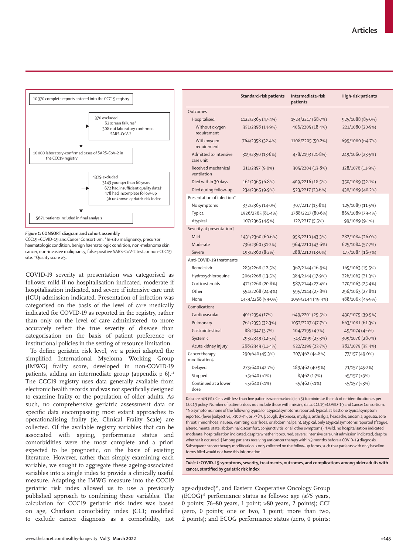

*Figure 1:* **CONSORT diagram and cohort assembly**

CCC19=COVID-19 and Cancer Consortium. \*In-situ malignancy, precursor haematologic condition, benign haematologic condition, non-melanoma skin cancer, non-invasive malignancy, false-positive SARS-CoV-2 test, or non-CCC19 site. †Quality score ≥5.

COVID-19 severity at presentation was categorised as follows: mild if no hospitalisation indicated, moderate if hospitalisation indicated, and severe if intensive care unit (ICU) admission indicated. Presentation of infection was categorised on the basis of the level of care medically indicated for COVID-19 as reported in the registry, rather than only on the level of care administered, to more accurately reflect the true severity of disease than categorisation on the basis of patient preference or institutional policies in the setting of resource limitation.

To define geriatric risk level, we a priori adapted the simplified International Myeloma Working Group (IMWG) frailty score, developed in non-COVID-19 patients, adding an intermediate group (appendix p 6).<sup>14</sup> The CCC19 registry uses data generally available from electronic health records and was not specifically designed to examine frailty or the population of older adults. As such, no comprehensive geriatric assessment data or specific data encompassing most extant approaches to operationalising frailty (ie, Clinical Frailty Scale) are collected. Of the available registry variables that can be associated with ageing, performance status and comorbidities were the most complete and a priori expected to be prognostic, on the basis of existing literature. However, rather than simply examining each variable, we sought to aggregate these ageing-associated variables into a single index to provide a clinically useful measure. Adapting the IMWG measure into the CCC19 geriatric risk index allowed us to use a previously published approach to combining these variables. The calculation for CCC19 geriatric risk index was based on age, Charlson comorbidity index (CCI; modified to exclude cancer diagnosis as a comorbidity, not

|                                       | Standard-risk patients | Intermediate-risk<br>patients | High-risk patients  |  |
|---------------------------------------|------------------------|-------------------------------|---------------------|--|
| Outcomes                              |                        |                               |                     |  |
| Hospitalised                          | 1122/2365 (47.4%)      | 1524/2217 (68.7%)             | 925/1088 (85.0%)    |  |
| Without oxygen<br>requirement         | 351/2358 (14.9%)       | 406/2205 (18.4%)              | 221/1080 (20.5%)    |  |
| With oxygen<br>requirement            | 764/2358 (32.4%)       | 1108/2205 (50.2%)             | 699/1080 (64.7%)    |  |
| Admitted to intensive<br>care unit    | 319/2350 (13.6%)       | 478/2193 (21.8%)              | 249/1060 (23.5%)    |  |
| Received mechanical<br>ventilation    | 211/2357 (9.0%)        | 305/2204 (13.8%)              | 128/1076 (11.9%)    |  |
| Died within 30 days                   | 161/2365 (6.8%)        | 409/2216 (18.5%)              | 350/1089 (32.1%)    |  |
| Died during follow-up                 | 234/2365 (9.9%)        | 523/2217 (23.6%)              | 438/1089 (40.2%)    |  |
| Presentation of infection*            |                        |                               |                     |  |
| No symptoms                           | 332/2365 (14.0%)       | 307/2217 (13.8%)              | 125/1089 (11.5%)    |  |
| Typical                               | 1926/2365 (81-4%)      | 1788/2217 (80.6%)             | 865/1089 (79-4%)    |  |
| Atypical                              | 107/2365 (4.5%)        | 122/2217 (5.5%)               | 99/1089 (9.1%)      |  |
| Severity at presentation <sup>†</sup> |                        |                               |                     |  |
| Mild                                  | 1431/2360 (60.6%)      | 958/2210 (43.3%)              | 282/1084 (26.0%)    |  |
| Moderate                              | 736/2360 (31.2%)       | 964/2210 (43.6%)              | 625/1084 (57.7%)    |  |
| Severe                                | 193/2360 (8.2%)        | 288/2210 (13.0%)              | 177/1084 (16.3%)    |  |
| Anti-COVID-19 treatments              |                        |                               |                     |  |
| Remdesivir                            | 283/2268 (12.5%)       | 362/2144 (16.9%)              | 165/1063 (15.5%)    |  |
| Hydroxychloroquine                    | 306/2268 (13.5%)       | 384/2144 (17.9%)              | 226/1063 (21.3%)    |  |
| Corticosteroids                       | 471/2268 (20.8%)       | 587/2144 (27-4%)              | 270/1063 (25-4%)    |  |
| Other                                 | 554/2268 (24.4%)       | 595/2144 (27.8%)              | 296/1063 (27.8%)    |  |
| None                                  | 1339/2268 (59.0%)      | 1059/2144 (49-4%)             | 488/1063 (45.9%)    |  |
| Complications                         |                        |                               |                     |  |
| Cardiovascular                        | 401/2354 (17%)         | 649/2201 (29.5%)              | 430/1079 (39.9%)    |  |
| Pulmonary                             | 761/2353 (32.3%)       | 1052/2207 (47.7%)             | 663/1081 (61.3%)    |  |
| Gastrointestinal                      | 88/2347 (3.7%)         | 104/2195 (4.7%)               | 49/1074 (4.6%)      |  |
| Systemic                              | 293/2349 (12.5%)       | 513/2199 (23.3%)              | 309/1076 (28.7%)    |  |
| Acute kidney injury                   | 268/2349 (11.4%)       | 522/2199 (23.7%)              | 382/1079 (35.4%)    |  |
| Cancer therapy<br>modification‡       | 290/640 (45.3%)        | 207/462 (44.8%)               | 77/157 (49.0%)      |  |
| Delayed                               | 273/640 (42.7%)        | 189/462 (40.9%)               | 71/157 (45-2%)      |  |
| Stopped                               | $<5/640$ (<1%)         | 8/462 (1.7%)                  | $<5/157$ ( $<3\%$ ) |  |
| Continued at a lower<br>dose          | $<5/640$ (<1%)         | $<5/462$ (<1%)                | $<5/157$ ( $<3\%$ ) |  |

Data are n/N (%). Cells with less than five patients were masked (ie, <5) to minimise the risk of re-identification as per CCC19 policy. Number of patients does not include those with missing data. CCC19=COVID-19 and Cancer Consortium. \*No symptoms: none of the following typical or atypical symptoms reported; typical: at least one typical symptom reported (fever [subjective, >100·4°F, or >38°C], cough, dyspnoea, myalgia, arthralgia, headache, anosmia, ageusia, sore throat, rhinorrhoea, nausea, vomiting, diarrhoea, or abdominal pain); atypical: only atypical symptoms reported (fatigue, altered mental state, abdominal discomfort, conjunctivitis, or all other symptoms). †Mild: no hospitalisation indicated; moderate: hospitalisation indicated, despite whether it occurred; severe: intensive care unit admission indicated, despite whether it occurred. ‡Among patients receiving anticancer therapy within 3 months before a COVID-19 diagnosis. Subsequent cancer therapy modification is only collected on the follow-up forms, such that patients with only baseline forms filled would not have this information.

*Table 1:* **COVID-19 symptoms, severity, treatments, outcomes, and complications among older adults with cancer, stratified by geriatric risk index**

age-adjusted)<sup>15</sup>, and Eastern Cooperative Oncology Group (ECOG)<sup>16</sup> performance status as follows: age ( $\leq$ 75 years, 0 points; 76–80 years, 1 point; >80 years, 2 points); CCI (zero, 0 points; one or two, 1 point; more than two, 2 points); and ECOG performance status (zero, 0 points;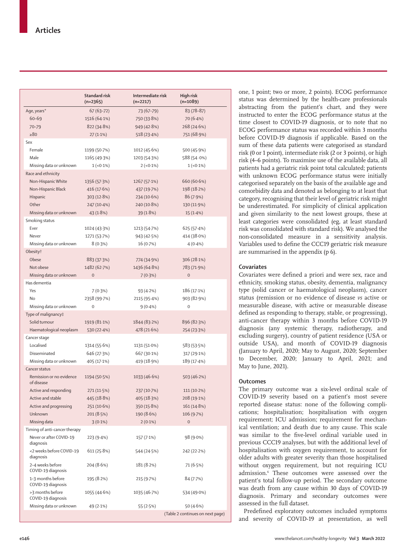|                                          | <b>Standard risk</b><br>$(n=2365)$ | Intermediate risk<br>$(n=2217)$ | High risk<br>$(n=1089)$          |  |  |  |
|------------------------------------------|------------------------------------|---------------------------------|----------------------------------|--|--|--|
| Age, years*                              | $67(63 - 72)$                      | 73 (67–79)                      | 83 (78-87)                       |  |  |  |
| $60 - 69$                                | 1516 (64.1%)                       | 750 (33.8%)                     | 70 (6.4%)                        |  |  |  |
| 70-79                                    | 822 (34.8%)                        | 949(42.8%)                      | 268 (24.6%)                      |  |  |  |
| >80                                      | $27(1.1\%)$                        | 518 (23.4%)                     | 751 (68.9%)                      |  |  |  |
| Sex                                      |                                    |                                 |                                  |  |  |  |
| Female                                   | 1199 (50.7%)                       | 1012 (45.6%)                    | 500 (45.9%)                      |  |  |  |
| Male                                     | 1165 (49.3%)                       | 1203 (54.3%)                    | 588 (54 .0%)                     |  |  |  |
| Missing data or unknown                  | $1(-0.1\%)$                        | $2 (-0.1\%)$                    | $1(-0.1\%)$                      |  |  |  |
|                                          |                                    |                                 |                                  |  |  |  |
| Race and ethnicity<br>Non-Hispanic White |                                    |                                 |                                  |  |  |  |
|                                          | 1356 (57.3%)                       | 1267 (57.1%)                    | 660 (60.6%)                      |  |  |  |
| Non-Hispanic Black                       | 416 (17.6%)                        | 437 (19.7%)                     | 198 (18.2%)                      |  |  |  |
| Hispanic                                 | 303(12.8%)                         | 234 (10.6%)                     | 86 (7.9%)                        |  |  |  |
| Other                                    | 247 (10.4%)                        | 240 (10.8%)                     | 130 (11.9%)                      |  |  |  |
| Missing data or unknown                  | 43(1.8%)                           | 39(1.8%)                        | 15(1.4%)                         |  |  |  |
| Smoking status                           |                                    |                                 |                                  |  |  |  |
| Ever                                     | 1024 (43.3%)                       | 1213 (54.7%)                    | 625(57.4%)                       |  |  |  |
| Never                                    | 1271 (53.7%)                       | 943 (42.5%)                     | 414 (38.0%)                      |  |  |  |
| Missing data or unknown                  | 8(0.3%)                            | 16 (0.7%)                       | $4(0.4\%)$                       |  |  |  |
| Obesity <sup>+</sup>                     |                                    |                                 |                                  |  |  |  |
| Obese                                    | 883 (37.3%)                        | 774 (34.9%)                     | 306 (28.1%)                      |  |  |  |
| Not obese                                | 1482 (62.7%)                       | 1436 (64.8%)                    | 783 (71.9%)                      |  |  |  |
| Missing data or unknown                  | $\overline{0}$                     | 7(0.3%)                         | $\mathbf 0$                      |  |  |  |
| Has dementia                             |                                    |                                 |                                  |  |  |  |
| Yes                                      | 7 (0.3%)                           | 93 (4.2%)                       | 186 (17.1%)                      |  |  |  |
| No                                       | 2358 (99.7%)                       | 2115 (95.4%)                    | 903 (82.9%)                      |  |  |  |
| Missing data or unknown                  | $\mathbf 0$                        | $9(0.4\%)$                      | $\mathbf 0$                      |  |  |  |
| Type of malignancy‡                      |                                    |                                 |                                  |  |  |  |
| Solid tumour                             | 1919 (81.1%)                       | 1844 (83.2%)                    | 896 (82.3%)                      |  |  |  |
| Haematological neoplasm                  | 530 (22.4%)                        | 478 (21.6%)                     | 254 (23.3%)                      |  |  |  |
| Cancer stage                             |                                    |                                 |                                  |  |  |  |
| Localised                                | 1314 (55.6%)                       | 1131 (51.0%)                    | 583 (53.5%)                      |  |  |  |
| Disseminated                             | 646 (27.3%)                        | 667 (30.1%)                     | 317 (29.1%)                      |  |  |  |
| Missing data or unknown                  | 405 (17.1%)                        | 419 (18.9%)                     | 189 (17.4%)                      |  |  |  |
| Cancer status                            |                                    |                                 |                                  |  |  |  |
| Remission or no evidence                 | 1194 (50.5%)                       | 1033 (46.6%)                    | 503 (46.2%)                      |  |  |  |
| of disease                               |                                    |                                 |                                  |  |  |  |
| Active and responding                    | 271 (11.5%)                        | 237 (10.7%)                     | $111(10.2\%)$                    |  |  |  |
| Active and stable                        | 445 (18.8%)                        | 405 (18.3%)                     | 208 (19.1%)                      |  |  |  |
| Active and progressing                   | 251 (10.6%)                        | 350 (15.8%)                     | 161 (14.8%)                      |  |  |  |
| Unknown                                  | 201(8.5%)                          | 190 (8.6%)                      | 106(9.7%)                        |  |  |  |
| Missing data                             | $3(0.1\%)$                         | $2(0.1\%)$                      | $\mathbf 0$                      |  |  |  |
| Timing of anti-cancer therapy            |                                    |                                 |                                  |  |  |  |
| Never or after COVID-19<br>diagnosis     | 223 (9.4%)                         | 157(7.1%)                       | 98 (9.0%)                        |  |  |  |
| <2 weeks before COVID-19<br>diagnosis    | 611(25.8%)                         | 544 (24.5%)                     | 242 (22.2%)                      |  |  |  |
| 2-4 weeks before<br>COVID-19 diagnosis   | 204(8.6%)                          | 181 (8.2%)                      | 71 (6.5%)                        |  |  |  |
| 1-3 months before<br>COVID-19 diagnosis  | 195 (8.2%)                         | 215 (9.7%)                      | 84(7.7%)                         |  |  |  |
| >3 months before<br>COVID-19 diagnosis   | 1055 (44.6%)                       | 1035 (46.7%)                    | 534 (49.0%)                      |  |  |  |
| Missing data or unknown                  | 49 (2.1%)                          | 55 (2.5%)                       | 50 (4.6%)                        |  |  |  |
|                                          |                                    |                                 | (Table 2 continues on next page) |  |  |  |

one, 1 point; two or more, 2 points). ECOG performance status was determined by the health-care professionals abstracting from the patient's chart, and they were instructed to enter the ECOG performance status at the time closest to COVID-19 diagnosis, or to note that no ECOG performance status was recorded within 3 months before COVID-19 diagnosis if applicable. Based on the sum of these data patients were categorised as standard risk (0 or 1 point), intermediate risk (2 or 3 points), or high risk (4–6 points). To maximise use of the available data, all patients had a geriatric risk point total calculated; patients with unknown ECOG performance status were initially categorised separately on the basis of the available age and comorbidity data and denoted as belonging to at least that category, recognising that their level of geriatric risk might be underestimated. For simplicity of clinical application and given similarity to the next lowest groups, these at least categories were consolidated (eg, at least standard risk was consolidated with standard risk). We analysed the non-consolidated measure in a sensitivity analysis. Variables used to define the CCC19 geriatric risk measure are summarised in the appendix (p 6).

## **Covariates**

Covariates were defined a priori and were sex, race and ethnicity, smoking status, obesity, dementia, malignancy type (solid cancer or haematological neoplasm), cancer status (remission or no evidence of disease *vs* active or measurable disease, with active or measurable disease defined as responding to therapy, stable, or progressing), anti-cancer therapy within 3 months before COVID-19 diagnosis (any systemic therapy, radiotherapy, and excluding surgery), country of patient residence (USA or outside USA), and month of COVID-19 diagnosis (January to April, 2020; May to August, 2020; September to December, 2020; January to April, 2021; and May to June, 2021).

## **Outcomes**

The primary outcome was a six-level ordinal scale of COVID-19 severity based on a patient's most severe reported disease status: none of the following complications; hospitalisation; hospitalisation with oxygen requirement; ICU admission; requirement for mechanical ventilation; and death due to any cause. This scale was similar to the five-level ordinal variable used in previous CCC19 analyses, but with the additional level of hospitalisation with oxygen requirement, to account for older adults with greater severity than those hospitalised without oxygen requirement, but not requiring ICU admission.<sup>6</sup> These outcomes were assessed over the patient's total follow-up period. The secondary outcome was death from any cause within 30 days of COVID-19 diagnosis. Primary and secondary outcomes were assessed in the full dataset.

Predefined exploratory outcomes included symptoms and severity of COVID-19 at presentation, as well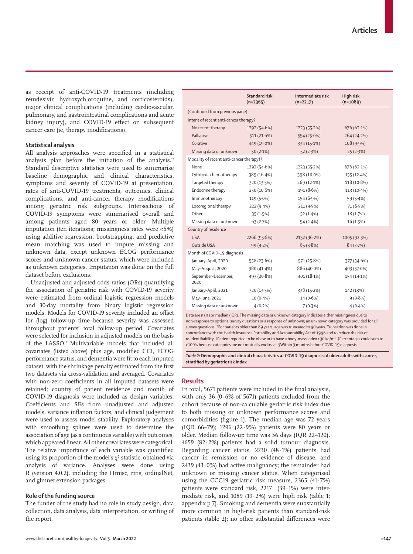as receipt of anti-COVID-19 treatments (including remdesivir, hydroxychloroquine, and corticosteroids), major clinical complications (including cardiovascular, pulmonary, and gastrointestinal complications and acute kidney injury), and COVID-19 effect on subsequent cancer care (ie, therapy modifications).

## **Statistical analysis**

All analysis approaches were specified in a statistical analysis plan before the initiation of the analysis.17 Standard descriptive statistics were used to summarise baseline demographic and clinical characteristics, symptoms and severity of COVID-19 at presentation, rates of anti-COVID-19 treatments, outcomes, clinical complications, and anti-cancer therapy modifications among geriatric risk subgroups. Intersections of COVID-19 symptoms were summarised overall and among patients aged 80 years or older. Multiple imputation (ten iterations; missingness rates were <5%) using additive regression, bootstrapping, and predictive mean matching was used to impute missing and unknown data, except unknown ECOG performance scores and unknown cancer status, which were included as unknown categories. Imputation was done on the full dataset before exclusions.

Unadjusted and adjusted odds ratios (ORs) quantifying the association of geriatric risk with COVID-19 severity were estimated from ordinal logistic regression models and 30-day mortality from binary logistic regression models. Models for COVID-19 severity included an offset for (log) follow-up time because severity was assessed throughout patients' total follow-up period. Covariates were selected for inclusion in adjusted models on the basis of the LASSO.18 Multivariable models that included all covariates (listed above) plus age, modified CCI, ECOG performance status, and dementia were fit to each imputed dataset, with the shrinkage penalty estimated from the first two datasets via cross-validation and averaged. Covariates with non-zero coefficients in all imputed datasets were retained; country of patient residence and month of COVID-19 diagnosis were included as design variables. Coefficients and SEs from unadjusted and adjusted models, variance inflation factors, and clinical judgement were used to assess model stability. Exploratory analyses with smoothing splines were used to determine the association of age (as a continuous variable) with outcomes, which appeared linear. All other covariates were categorical. The relative importance of each variable was quantified using its proportion of the model's  $\chi^2$  statistic, obtained via analysis of variance. Analyses were done using R (version 4.0.2), including the Hmisc, rms, ordinalNet, and glmnet extension packages.

### **Role of the funding source**

The funder of the study had no role in study design, data collection, data analysis, data interpretation, or writing of the report.

|                                          | <b>Standard risk</b><br>$(n=2365)$ | Intermediate risk<br>$(n=2217)$ | High risk<br>$(n=1089)$ |  |  |  |
|------------------------------------------|------------------------------------|---------------------------------|-------------------------|--|--|--|
| (Continued from previous page)           |                                    |                                 |                         |  |  |  |
| Intent of recent anti-cancer therapy§    |                                    |                                 |                         |  |  |  |
| No recent therapy                        | 1292 (54.6%)                       | 1223 (55.2%)                    | 676(62.1%)              |  |  |  |
| Palliative                               | 511(21.6%)                         | 554 (25.0%)                     | 264 (24.2%)             |  |  |  |
| Curative                                 | 449 (19.0%)                        | 334 (15.1%)                     | 108 (9.9%)              |  |  |  |
| Missing data or unknown                  | 50(2.1%)                           | 52(2.3%)                        | 25(2.3%)                |  |  |  |
| Modality of recent anti-cancer therapy‡§ |                                    |                                 |                         |  |  |  |
| None                                     | 1292 (54.6%)                       | 1223 (55.2%)                    | 676 (62.1%)             |  |  |  |
| Cytotoxic chemotherapy                   | 389 (16.4%)                        | 398 (18.0%)                     | 135 (12.4%)             |  |  |  |
| Targeted therapy                         | 320 (13.5%)                        | 269 (12.1%)                     | 118 (10.8%)             |  |  |  |
| Endocrine therapy                        | 250 (10.6%)                        | 191 (8.6%)                      | 113 (10.4%)             |  |  |  |
| Immunotherapy                            | 119 (5.0%)                         | 154(6.9%)                       | 59 (5.4%)               |  |  |  |
| Locoregional therapy                     | 222 (9.4%)                         | 211(9.5%)                       | 71 (6.5%)               |  |  |  |
| Other                                    | 35(1.5%)                           | 32(1.4%)                        | 18(1.7%)                |  |  |  |
| Missing data or unknown                  | 63(2.7%)                           | 54(2.4%)                        | 16(1.5%)                |  |  |  |
| Country of residence                     |                                    |                                 |                         |  |  |  |
| <b>USA</b>                               | 2266 (95.8%)                       | 2132 (96.2%)                    | 1005 (92.3%)            |  |  |  |
| Outside USA                              | 99 (4.2%)                          | 85(3.8%)                        | 84(7.7%)                |  |  |  |
| Month of COVID-19 diagnosis              |                                    |                                 |                         |  |  |  |
| January-April, 2020                      | 558 (23.6%)                        | 571 (25.8%)                     | 377 (34.6%)             |  |  |  |
| May-August, 2020                         | 980 (41.4%)                        | 886 (40.0%)                     | 403 (37.0%)             |  |  |  |
| September-December,<br>2020              | 493 (20.8%)                        | 401 (18.1%)                     | 154 (14.1%)             |  |  |  |
| January-April, 2021                      | 320 (13.5%)                        | 338 (15.2%)                     | 142 (13%)               |  |  |  |
| May-June, 2021                           | $10(0.4\%)$                        | $14(0.6\%)$                     | $9(0.8\%)$              |  |  |  |
| Missing data or unknown                  | $4(0.2\%)$                         | 7(0.3%)                         | $4(0.4\%)$              |  |  |  |
|                                          |                                    |                                 |                         |  |  |  |

Data are n (%) or median (IQR). The missing data or unknown category indicates either missingness due to non-response to optional survey questions or a response of unknown; an unknown category was provided for all survey questions. \*For patients older than 89 years, age was truncated to 90 years. Truncation was done in concordance with the Health Insurance Portability and Accountability Act of 1996 and to reduce the risk of re-identifiability. †Patient reported to be obese or to have a body-mass index ≥30 kg/m<sup>2</sup>. ‡Percentages could sum to >100% because categories are not mutually exclusive. §Within 3 months before COVID-19 diagnosis.

*Table 2:* **Demographic and clinical characteristics at COVID-19 diagnosis of older adults with cancer, stratified by geriatric risk index**

## **Results**

In total, 5671 patients were included in the final analysis, with only 36 (0·6% of 5671) patients excluded from the cohort because of non-calculable geriatric risk index due to both missing or unknown performance scores and comorbidities (figure 1). The median age was 72 years (IQR 66–79); 1296 (22·9%) patients were 80 years or older. Median follow-up time was 56 days (IQR 22–120). 4659 (82·2%) patients had a solid tumour diagnosis. Regarding cancer status, 2730 (48·1%) patients had cancer in remission or no evidence of disease, and 2439 (43·0%) had active malignancy; the remainder had unknown or missing cancer status. When categorised using the CCC19 geriatric risk measure, 2365 (41·7%) patients were standard risk, 2217 (39·1%) were intermediate risk, and 1089 (19·2%) were high risk (table 1; appendix p 7). Smoking and dementia were substantially more common in high-risk patients than standard-risk patients (table 2); no other substantial differences were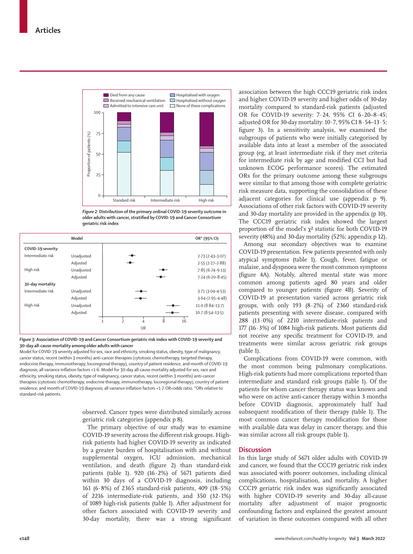

*Figure 2:* **Distribution of the primary ordinal COVID-19 severity outcome in older adults with cancer, stratified by COVID-19 and Cancer Consortium geriatric risk index**

|                   | Model      |                          |           |   |    | OR* (95% CI)        |
|-------------------|------------|--------------------------|-----------|---|----|---------------------|
| COVID-19 severity |            |                          |           |   |    |                     |
| Intermediate risk | Unadjusted |                          |           |   |    | $2.73(2.43-3.07)$   |
|                   | Adjusted   |                          |           |   |    | $2.55(2.27-2.88)$   |
| High risk         | Unadjusted |                          |           |   |    | $7.85(6.74-9.13)$   |
|                   | Adjusted   |                          |           |   |    | $7.24(6.20 - 8.45)$ |
| 30-day mortality  |            |                          |           |   |    |                     |
| Intermediate risk | Unadjusted |                          |           |   |    | $3.71(3.04 - 4.53)$ |
|                   | Adjusted   |                          |           |   |    | $3.64(2.95 - 4.48)$ |
| High risk         | Unadjusted |                          |           |   |    | $11.0(8.84-13.7)$   |
|                   | Adjusted   |                          |           |   |    | $10.7(8.54-13.5)$   |
|                   |            | $\overline{\phantom{a}}$ | 4         | 8 | 16 |                     |
|                   |            |                          | <b>OR</b> |   |    |                     |

#### *Figure 3:* **Association of COVID-19 and Cancer Consortium geriatric risk index with COVID-19 severity and 30-day all-cause mortality among older adults with cancer**

Model for COVID-19 severity adjusted for sex, race and ethnicity, smoking status, obesity, type of malignancy, cancer status, recent (within 3 months) anti-cancer therapies (cytotoxic chemotherapy, targeted therapy, endocrine therapy, immunotherapy, locoregional therapy), country of patient residence, and month of COVID-19 diagnosis; all variance inflation factors <1·6. Model for 30-day all-cause mortality adjusted for sex, race and ethnicity, smoking status, obesity, type of malignancy, cancer status, recent (within 3 months) anti-cancer therapies (cytotoxic chemotherapy, endocrine therapy, immunotherapy, locoregional therapy), country of patient residence, and month of COVID-19 diagnosis; all variance inflation factors <1·7. OR=odds ratio. \*ORs relative to standard-risk patients.

> observed. Cancer types were distributed similarly across geriatric risk categories (appendix p 8).

The primary objective of our study was to examine COVID-19 severity across the different risk groups. Highrisk patients had higher COVID-19 severity as indicated by a greater burden of hospitalisation with and without supplemental oxygen, ICU admission, mechanical ventilation, and death (figure 2) than standard-risk patients (table 1). 920 (16·2%) of 5671 patients died within 30 days of a COVID-19 diagnosis, including 161 (6·8%) of 2365 standard-risk patients, 409 (18·5%) of 2216 intermediate-risk patients, and 350 (32·1%) of 1089 high-risk patients (table 1). After adjustment for other factors associated with COVID-19 severity and 30-day mortality, there was a strong significant association between the high CCC19 geriatric risk index and higher COVID-19 severity and higher odds of 30-day mortality compared to standard-risk patients (adjusted OR for COVID-19 severity: 7·24, 95% CI 6·20–8·45; adjusted OR for 30-day mortality:  $10 \cdot 7$ ,  $95\%$  CI  $8 \cdot 54$ -13 $\cdot 5$ ; figure 3). In a sensitivity analysis, we examined the subgroups of patients who were initially categorised by available data into at least a member of the associated group (eg, at least intermediate risk if they met criteria for intermediate risk by age and modified CCI but had unknown ECOG performance scores). The estimated ORs for the primary outcome among these subgroups were similar to that among those with complete geriatric risk measure data, supporting the consolidation of these adjacent categories for clinical use (appendix p 9). Associations of other risk factors with COVID-19 severity and 30-day mortality are provided in the appendix (p 10). The CCC19 geriatric risk index showed the largest proportion of the model's  $\chi^2$  statistic for both COVID-19 severity (48%) and 30-day mortality (52%; appendix p 12).

Among our secondary objectives was to examine COVID-19 presentation. Few patients presented with only atypical symptoms (table 1). Cough, fever, fatigue or malaise, and dyspnoea were the most common symptoms (figure 4A). Notably, altered mental state was more common among patients aged 80 years and older compared to younger patients (figure 4B). Severity of COVID-19 at presentation varied across geriatric risk groups, with only 193 (8·2%) of 2360 standard-risk patients presenting with severe disease, compared with 288 (13·0%) of 2210 intermediate-risk patients and 177 (16·3%) of 1084 high-risk patients. Most patients did not receive any specific treatment for COVID-19, and treatments were similar across geriatric risk groups (table 1).

Complications from COVID-19 were common, with the most common being pulmonary complications. High-risk patients had more complications reported than intermediate and standard risk groups (table 1). Of the patients for whom cancer therapy status was known and who were on active anti-cancer therapy within 3 months before COVID diagnosis, approximately half had subsequent modification of their therapy (table 1). The most common cancer therapy modification for those with available data was delay in cancer therapy, and this was similar across all risk groups (table 1).

## **Discussion**

In this large study of 5671 older adults with COVID-19 and cancer, we found that the CCC19 geriatric risk index was associated with poorer outcomes, including clinical complications, hospitalisation, and mortality. A higher CCC19 geriatric risk index was significantly associated with higher COVID-19 severity and 30-day all-cause mortality after adjustment of major prognostic confounding factors and explained the greatest amount of variation in these outcomes compared with all other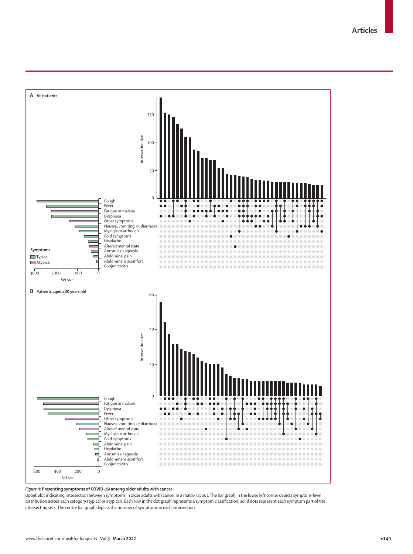**Articles**



#### *Figure 4:* **Presenting symptoms of COVID-19 among older adults with cancer**

UpSet plot indicating intersection between symptoms in older adults with cancer in a matrix layout. The bar graph in the lower left corner depicts symptom-level distribution across each category (typical or atypical). Each row in the dot graph represents a symptom classification; solid dots represent each symptom part of the intersecting sets. The centre bar graph depicts the number of symptoms in each intersection.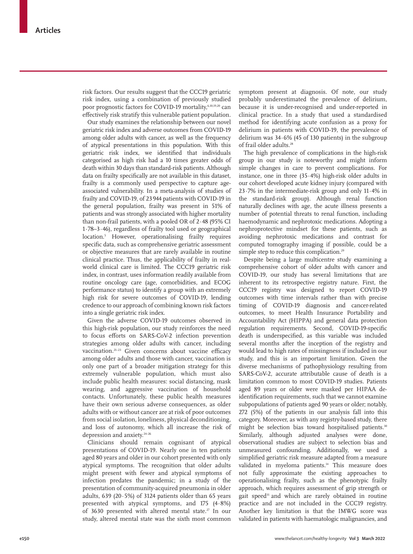risk factors. Our results suggest that the CCC19 geriatric risk index, using a combination of previously studied poor prognostic factors for COVID-19 mortality,6,10,19,20 can effectively risk stratify this vulnerable patient population.

Our study examines the relationship between our novel geriatric risk index and adverse outcomes from COVID-19 among older adults with cancer, as well as the frequency of atypical presentations in this population. With this geriatric risk index, we identified that individuals categorised as high risk had a 10 times greater odds of death within 30 days than standard-risk patients. Although data on frailty specifically are not available in this dataset, frailty is a commonly used perspective to capture ageassociated vulnerability. In a meta-analysis of studies of frailty and COVID-19, of 23944 patients with COVID-19 in the general population, frailty was present in 51% of patients and was strongly associated with higher mortality than non-frail patients, with a pooled OR of  $2.48$  (95% CI 1·78–3·46), regardless of frailty tool used or geographical location.5 However, operationalising frailty requires specific data, such as comprehensive geriatric assessment or objective measures that are rarely available in routine clinical practice. Thus, the applicability of frailty in realworld clinical care is limited. The CCC19 geriatric risk index, in contrast, uses information readily available from routine oncology care (age, comorbidities, and ECOG performance status) to identify a group with an extremely high risk for severe outcomes of COVID-19, lending credence to our approach of combining known risk factors into a single geriatric risk index.

Given the adverse COVID-19 outcomes observed in this high-risk population, our study reinforces the need to focus efforts on SARS-CoV-2 infection prevention strategies among older adults with cancer, including vaccination.<sup>21-23</sup> Given concerns about vaccine efficacy among older adults and those with cancer, vaccination is only one part of a broader mitigation strategy for this extremely vulnerable population, which must also include public health measures: social distancing, mask wearing, and aggressive vaccination of household contacts. Unfortunately, these public health measures have their own serious adverse consequences, as older adults with or without cancer are at risk of poor outcomes from social isolation, loneliness, physical deconditioning, and loss of autonomy, which all increase the risk of depression and anxiety.<sup>24-26</sup>

Clinicians should remain cognisant of atypical presentations of COVID-19. Nearly one in ten patients aged 80 years and older in our cohort presented with only atypical symptoms. The recognition that older adults might present with fewer and atypical symptoms of infection predates the pandemic; in a study of the presentation of community-acquired pneumonia in older adults, 639 (20·5%) of 3124 patients older than 65 years presented with atypical symptoms, and 175 (4·8%) of 3630 presented with altered mental state.<sup>27</sup> In our study, altered mental state was the sixth most common symptom present at diagnosis. Of note, our study probably underestimated the prevalence of delirium, because it is under-recognised and under-reported in clinical practice. In a study that used a standardised method for identifying acute confusion as a proxy for delirium in patients with COVID-19, the prevalence of delirium was 34·6% (45 of 130 patients) in the subgroup of frail older adults.<sup>28</sup>

The high prevalence of complications in the high-risk group in our study is noteworthy and might inform simple changes in care to prevent complications. For instance, one in three (35·4%) high-risk older adults in our cohort developed acute kidney injury (compared with 23·7% in the intermediate-risk group and only 11·4% in the standard-risk group). Although renal function naturally declines with age, the acute illness presents a number of potential threats to renal function, including haemodynamic and nephrotoxic medications. Adopting a nephroprotective mindset for these patients, such as avoiding nephrotoxic medications and contrast for computed tomography imaging if possible, could be a simple step to reduce this complication.<sup>29</sup>

Despite being a large multicentre study examining a comprehensive cohort of older adults with cancer and COVID-19, our study has several limitations that are inherent to its retrospective registry nature. First, the CCC19 registry was designed to report COVID-19 outcomes with time intervals rather than with precise timing of COVID-19 diagnosis and cancer-related outcomes, to meet Health Insurance Portability and Accountability Act (HIPPA) and general data protection regulation requirements. Second, COVID-19-specific death is underspecified, as this variable was included several months after the inception of the registry and would lead to high rates of missingness if included in our study, and this is an important limitation. Given the diverse mechanisms of pathophysiology resulting from SARS-CoV-2, accurate attributable cause of death is a limitation common to most COVID-19 studies. Patients aged 89 years or older were masked per HIPAA deidentification requirements, such that we cannot examine subpopulations of patients aged 90 years or older; notably, 272 (5%) of the patients in our analysis fall into this category. Moreover, as with any registry-based study, there might be selection bias toward hospitalised patients.<sup>30</sup> Similarly, although adjusted analyses were done, observational studies are subject to selection bias and unmeasured confounding. Additionally, we used a simplified geriatric risk measure adapted from a measure validated in myeloma patients.<sup>14</sup> This measure does not fully approximate the existing approaches to operationalising frailty, such as the phenotypic frailty approach, which requires assessment of grip strength or gait speed<sup>31</sup> and which are rarely obtained in routine practice and are not included in the CCC19 registry. Another key limitation is that the IMWG score was validated in patients with haematologic malignancies, and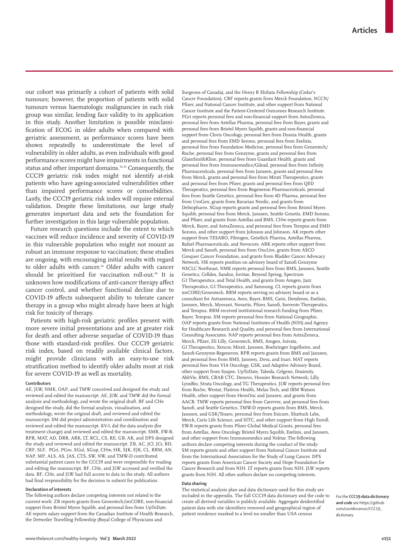our cohort was primarily a cohort of patients with solid tumours; however, the proportion of patients with solid tumours versus haematologic malignancies in each risk group was similar, lending face validity to its application in this study. Another limitation is possible misclassification of ECOG in older adults when compared with geriatric assessment, as performance scores have been shown repeatedly to underestimate the level of vulnerability in older adults, as even individuals with good performance scores might have impairments in functional status and other important domains.<sup>32,33</sup> Consequently, the CCC19 geriatric risk index might not identify at-risk patients who have ageing-associated vulnerabilities other than impaired performance scores or comorbidities. Lastly, the CCC19 geriatric risk index will require external validation. Despite these limitations, our large study generates important data and sets the foundation for further investigation in this large vulnerable population.

Future research questions include the extent to which vaccines will reduce incidence and severity of COVID-19 in this vulnerable population who might not mount as robust an immune response to vaccination; these studies are ongoing, with encouraging initial results with regard to older adults with cancer.<sup>34</sup> Older adults with cancer should be prioritised for vaccination roll-out.<sup>30</sup> It is unknown how modifications of anti-cancer therapy affect cancer control, and whether functional decline due to COVID-19 affects subsequent ability to tolerate cancer therapy in a group who might already have been at high risk for toxicity of therapy.

Patients with high-risk geriatric profiles present with more severe initial presentations and are at greater risk for death and other adverse sequelae of COVID-19 than those with standard-risk profiles. Our CCC19 geriatric risk index, based on readily available clinical factors, might provide clinicians with an easy-to-use risk stratification method to identify older adults most at risk for severe COVID-19 as well as mortality.

#### **Contributors**

AE, JLW, NMK, OAP, and TMW conceived and designed the study and reviewed and edited the manuscript. AE, JLW, and TMW did the formal analysis and methodology, and wrote the original draft. BF and CHe designed the study, did the formal analysis, visualisation, and methodology, wrote the original draft, and reviewed and edited the manuscript. SM did project administration and coordination and reviewed and edited the manuscript. KV-L did the data analysis (for treatment change) and reviewed and edited the manuscript. SMR, EW-B, RPR, MAT, AD, DRR, ARK, LT, RCL, CS, RE, GB, AK, and DPS designed the study and reviewed and edited the manuscript. ZB, AC, JCl, JCr, BD, CRF, SLF, PGri, PGro, SGul, SGup, CHw, HK, SJK, EJK, CL, RRM, AN, NAP, MP, ALS, AS, JAS, CTS, SW, NW, and TMW-D contributed substantial patient cases to the CCC19 and were responsible for reading and editing the manuscript. BF, CHe, and JLW accessed and verified the data. BF, CHe, and JLW had full access to data in the study. All authors had final responsibility for the decision to submit for publication.

#### **Declaration of interests**

The following authors declare competing interests not related to the current work: ZB reports grants from Genentech/imCORE, non-financial support from Bristol Myers Squibb, and personal fees from UpToDate. AE reports salary support from the Canadian Institute of Health Research, the Detweiler Travelling Fellowship (Royal College of Physicians and

Surgeons of Canada), and the Henry R Shibata Fellowship (Cedar's Cancer Foundation). CRF reports grants from Merck Foundation, NCCN/ Pfizer, and National Cancer Institute, and other support from National Cancer Institute and the Patient-Centered Outcomes Research Institute. PGri reports personal fees and non-financial support from AstraZeneca, personal fees from Astellas Pharma, personal fees from Bayer, grants and personal fees from Bristol Myers Squibb, grants and non-financial support from Clovis Oncology, personal fees from Dyania Health, grants and personal fees from EMD Serono, personal fees from Exelixis, personal fees from Foundation Medicine, personal fees from Genentech/ Roche, personal fees from Genzyme, grants and personal fees from GlaxoSmithKline, personal fees from Guardant Health, grants and personal fees from Immunomedics/Gilead, personal fees from Infinity Pharmaceuticals, personal fees from Janssen, grants and personal fees from Merck, grants and personal fees from Mirati Therapeutics, grants and personal fees from Pfizer, grants and personal fees from QED Therapeutics, personal fees from Regeneron Pharmaceuticals, personal fees from Seattle Genetics, personal fees from 4D Pharma, personal fees from UroGen, grants from Bavarian Nordic, and grants from Debiopharm. SGup reports grants and personal fees from Bristol Myers Squibb, personal fees from Merck, Janssen, Seattle Genetis, EMD Sorono, and Pfizer, and grants from Astellas and BMS. CHw reports grants from Merck, Bayer, and AstraZeneca, and personal fees from Tempus and EMD Sorono, and other support from Johnson and Johnson. AK reports other support from TESARO, Fibrogen, Geistlich Pharma, Astellas Pharma, Rafael Pharmaceuticals, and Novocure. ARK reports other support from Merck and Sanofi, personal fees from OncLive, grants from ASCO Conquer Cancer Foundation, and grants from Bladder Cancer Advocacy Network. HK reports position on advisory board of Sanofi Genzyme NSCLC Northeast. NMK reports personal fees from BMS, Janssen, Seattle Genetics, Celldex, Sandoz, Invitae, Beyond Spring, Spectrum G1 Therapeutics, and Total Health, and grants from Amgen, Jazz Therapeutics, G1 Therapeutics, and Samsung. CL reports grants from imCORE/Genentech. RRM reports serving on advisory board or as a consultant for Astrazeneca, Aveo, Bayer, BMS, Caris, Dendreon, Exelixis, Janssen, Merck, Myovant, Novartis, Pfizer, Sanofi, Sorrento Therapeutics, and Tempus. RRM received institutional research funding from Pfizer, Bayer, Tempus. SM reports personal fees from National Geographic. OAP reports grants from National Institutes of Health (NIH) and Agency for Healthcare Research and Quality, and personal fees from International Consulting Associates. NAP reports personal fees from AstraZeneca, Merck, Pfizer, Eli Lilly, Genentech, BMS, Amgen, Inivata, G1 Therapeutics, Xencor, Mirati, Janssen, Boehringer Ingelheim, and Sanofi-Genzyme-Regeneron. RPR reports grants from BMS and Janssen, and personal fees from BMS, Janssen, Dova, and Inari. MAT reports personal fees from VIA Oncology, GSK, and Adaptive Advisory Board, other support from Syapse, UpToDate, Takeda, Celgene, Doximity, AbbVie, BMS, CRAB CTC, Denovo, Hoosier Research Network, Lilly, LynxBio, Strata Oncology, and TG Therapeutics. JLW reports personal fees from Roche, Westat, Flatiron Health, Melax Tech, and IBM Watson Health, other support from HemOnc and Janssen, and grants from AACR. TMW reports personal fees from Carevive, and personal fees from Sanofi, and Seattle Genetics. TMW-D reports grants from BMS, Merck, Janssen, and GSK/Tesaro, personal fees from Exicure, Shattuck Labs, Merck, Caris Life Science, and SITC, and other support from High Enroll. EW-B reports grants from Pfizer Global Medical Grants, personal fees from Astellas, Aveo Oncology Bristol Myers Squibb, Exelixis, and Janssen, and other support from Immunomedics and Nektar. The following authors declare competing interests during the conduct of the study: SM reports grants and other support from National Cancer Institute and from the International Association for the Study of Lung Cancer. DPS reports grants from American Cancer Society and Hope Foundation for Cancer Research and from NIH. LT reports grants from NIH. JLW reports grants from NIH. All other authors declare no competing interests.

#### **Data sharing**

The statistical analysis plan and data dictionary used for this study are included in the appendix. The full [CCC19 data dictionary and the code](https://github.com/covidncancer/CCC19_dictionary) to create all derived variables is publicly available. Aggregate deidentified patient data with site identifiers removed and geographical region of patient residence masked to a level no smaller than USA census

For the **CCC19 data dictionary and code** see [https://github.](https://github.com/covidncancer/CCC19_dictionary) [com/covidncancer/CCC19\\_](https://github.com/covidncancer/CCC19_dictionary) [dictionary](https://github.com/covidncancer/CCC19_dictionary)